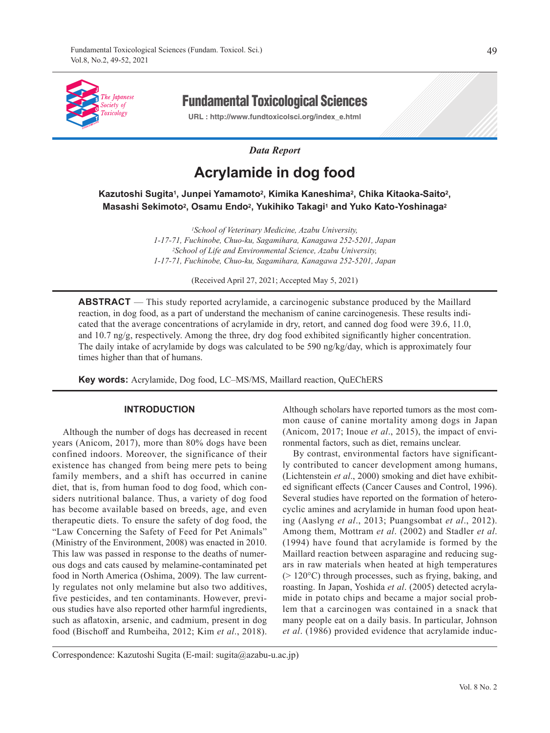

Fundamental Toxicological Sciences

**URL : http://www.fundtoxicolsci.org/index\_e.html**

## *Data Report*

# **Acrylamide in dog food**

**Kazutoshi Sugita1, Junpei Yamamoto2, Kimika Kaneshima2, Chika Kitaoka-Saito2, Masashi Sekimoto2, Osamu Endo2, Yukihiko Takagi1 and Yuko Kato-Yoshinaga2**

> *1School of Veterinary Medicine, Azabu University, 1-17-71, Fuchinobe, Chuo-ku, Sagamihara, Kanagawa 252-5201, Japan 2School of Life and Environmental Science, Azabu University, 1-17-71, Fuchinobe, Chuo-ku, Sagamihara, Kanagawa 252-5201, Japan*

> > (Received April 27, 2021; Accepted May 5, 2021)

**ABSTRACT** — This study reported acrylamide, a carcinogenic substance produced by the Maillard reaction, in dog food, as a part of understand the mechanism of canine carcinogenesis. These results indicated that the average concentrations of acrylamide in dry, retort, and canned dog food were 39.6, 11.0, and 10.7 ng/g, respectively. Among the three, dry dog food exhibited significantly higher concentration. The daily intake of acrylamide by dogs was calculated to be 590 ng/kg/day, which is approximately four times higher than that of humans.

**Key words:** Acrylamide, Dog food, LC–MS/MS, Maillard reaction, QuEChERS

#### **INTRODUCTION**

Although the number of dogs has decreased in recent years (Anicom, 2017), more than 80% dogs have been confined indoors. Moreover, the significance of their existence has changed from being mere pets to being family members, and a shift has occurred in canine diet, that is, from human food to dog food, which considers nutritional balance. Thus, a variety of dog food has become available based on breeds, age, and even therapeutic diets. To ensure the safety of dog food, the "Law Concerning the Safety of Feed for Pet Animals" (Ministry of the Environment, 2008) was enacted in 2010. This law was passed in response to the deaths of numerous dogs and cats caused by melamine-contaminated pet food in North America (Oshima, 2009). The law currently regulates not only melamine but also two additives, five pesticides, and ten contaminants. However, previous studies have also reported other harmful ingredients, such as aflatoxin, arsenic, and cadmium, present in dog food (Bischoff and Rumbeiha, 2012; Kim *et al*., 2018).

Although scholars have reported tumors as the most common cause of canine mortality among dogs in Japan (Anicom, 2017; Inoue *et al*., 2015), the impact of environmental factors, such as diet, remains unclear.

By contrast, environmental factors have significantly contributed to cancer development among humans, (Lichtenstein *et al*., 2000) smoking and diet have exhibited significant effects (Cancer Causes and Control, 1996). Several studies have reported on the formation of heterocyclic amines and acrylamide in human food upon heating (Aaslyng *et al*., 2013; Puangsombat *et al*., 2012). Among them, Mottram *et al*. (2002) and Stadler *et al*. (1994) have found that acrylamide is formed by the Maillard reaction between asparagine and reducing sugars in raw materials when heated at high temperatures (> 120°C) through processes, such as frying, baking, and roasting. In Japan, Yoshida *et al*. (2005) detected acrylamide in potato chips and became a major social problem that a carcinogen was contained in a snack that many people eat on a daily basis. In particular, Johnson *et al*. (1986) provided evidence that acrylamide induc-

Correspondence: Kazutoshi Sugita (E-mail: sugita@azabu-u.ac.jp)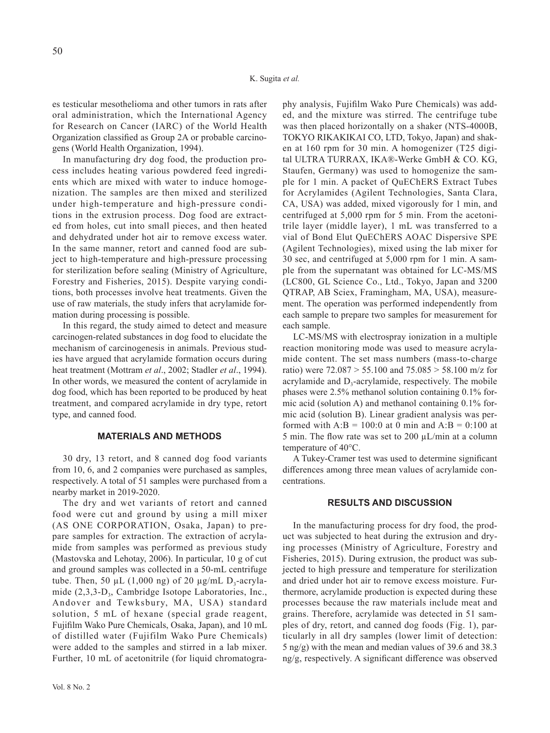es testicular mesothelioma and other tumors in rats after oral administration, which the International Agency for Research on Cancer (IARC) of the World Health Organization classified as Group 2A or probable carcinogens (World Health Organization, 1994).

In manufacturing dry dog food, the production process includes heating various powdered feed ingredients which are mixed with water to induce homogenization. The samples are then mixed and sterilized under high-temperature and high-pressure conditions in the extrusion process. Dog food are extracted from holes, cut into small pieces, and then heated and dehydrated under hot air to remove excess water. In the same manner, retort and canned food are subject to high-temperature and high-pressure processing for sterilization before sealing (Ministry of Agriculture, Forestry and Fisheries, 2015). Despite varying conditions, both processes involve heat treatments. Given the use of raw materials, the study infers that acrylamide formation during processing is possible.

In this regard, the study aimed to detect and measure carcinogen-related substances in dog food to elucidate the mechanism of carcinogenesis in animals. Previous studies have argued that acrylamide formation occurs during heat treatment (Mottram *et al*., 2002; Stadler *et al*., 1994). In other words, we measured the content of acrylamide in dog food, which has been reported to be produced by heat treatment, and compared acrylamide in dry type, retort type, and canned food.

# **MATERIALS AND METHODS**

30 dry, 13 retort, and 8 canned dog food variants from 10, 6, and 2 companies were purchased as samples, respectively. A total of 51 samples were purchased from a nearby market in 2019-2020.

The dry and wet variants of retort and canned food were cut and ground by using a mill mixer (AS ONE CORPORATION, Osaka, Japan) to prepare samples for extraction. The extraction of acrylamide from samples was performed as previous study (Mastovska and Lehotay, 2006). In particular, 10 g of cut and ground samples was collected in a 50-mL centrifuge tube. Then, 50  $\mu$ L (1,000 ng) of 20  $\mu$ g/mL D<sub>3</sub>-acrylamide (2,3,3-D<sub>3</sub>, Cambridge Isotope Laboratories, Inc., Andover and Tewksbury, MA, USA) standard solution, 5 mL of hexane (special grade reagent, Fujifilm Wako Pure Chemicals, Osaka, Japan), and 10 mL of distilled water (Fujifilm Wako Pure Chemicals) were added to the samples and stirred in a lab mixer. Further, 10 mL of acetonitrile (for liquid chromatography analysis, Fujifilm Wako Pure Chemicals) was added, and the mixture was stirred. The centrifuge tube was then placed horizontally on a shaker (NTS-4000B, TOKYO RIKAKIKAI CO, LTD, Tokyo, Japan) and shaken at 160 rpm for 30 min. A homogenizer (T25 digital ULTRA TURRAX, IKA®-Werke GmbH & CO. KG, Staufen, Germany) was used to homogenize the sample for 1 min. A packet of QuEChERS Extract Tubes for Acrylamides (Agilent Technologies, Santa Clara, CA, USA) was added, mixed vigorously for 1 min, and centrifuged at 5,000 rpm for 5 min. From the acetonitrile layer (middle layer), 1 mL was transferred to a vial of Bond Elut QuEChERS AOAC Dispersive SPE (Agilent Technologies), mixed using the lab mixer for 30 sec, and centrifuged at 5,000 rpm for 1 min. A sample from the supernatant was obtained for LC-MS/MS (LC800, GL Science Co., Ltd., Tokyo, Japan and 3200 QTRAP, AB Sciex, Framingham, MA, USA), measurement. The operation was performed independently from each sample to prepare two samples for measurement for each sample.

LC-MS/MS with electrospray ionization in a multiple reaction monitoring mode was used to measure acrylamide content. The set mass numbers (mass-to-charge ratio) were 72.087 > 55.100 and 75.085 > 58.100 m/z for acrylamide and  $D_3$ -acrylamide, respectively. The mobile phases were 2.5% methanol solution containing 0.1% formic acid (solution A) and methanol containing 0.1% formic acid (solution B). Linear gradient analysis was performed with  $A:B = 100:0$  at 0 min and  $A:B = 0:100$  at 5 min. The flow rate was set to 200 µL/min at a column temperature of 40°C.

A Tukey-Cramer test was used to determine significant differences among three mean values of acrylamide concentrations.

#### **RESULTS AND DISCUSSION**

In the manufacturing process for dry food, the product was subjected to heat during the extrusion and drying processes (Ministry of Agriculture, Forestry and Fisheries, 2015). During extrusion, the product was subjected to high pressure and temperature for sterilization and dried under hot air to remove excess moisture. Furthermore, acrylamide production is expected during these processes because the raw materials include meat and grains. Therefore, acrylamide was detected in 51 samples of dry, retort, and canned dog foods (Fig. 1), particularly in all dry samples (lower limit of detection: 5 ng/g) with the mean and median values of 39.6 and 38.3 ng/g, respectively. A significant difference was observed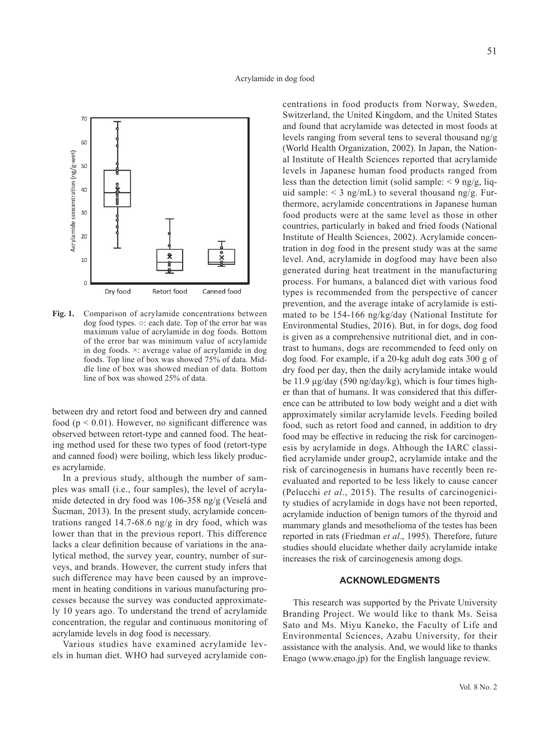

**Fig. 1.** Comparison of acrylamide concentrations between dog food types. ○: each date. Top of the error bar was maximum value of acrylamide in dog foods. Bottom of the error bar was minimum value of acrylamide in dog foods. ×: average value of acrylamide in dog foods. Top line of box was showed 75% of data. Middle line of box was showed median of data. Bottom line of box was showed 25% of data.

between dry and retort food and between dry and canned food ( $p < 0.01$ ). However, no significant difference was observed between retort-type and canned food. The heating method used for these two types of food (retort-type and canned food) were boiling, which less likely produces acrylamide.

In a previous study, although the number of samples was small (i.e., four samples), the level of acrylamide detected in dry food was 106-358 ng/g (Veselá and Šucman, 2013). In the present study, acrylamide concentrations ranged  $14.7-68.6$  ng/g in dry food, which was lower than that in the previous report. This difference lacks a clear definition because of variations in the analytical method, the survey year, country, number of surveys, and brands. However, the current study infers that such difference may have been caused by an improvement in heating conditions in various manufacturing processes because the survey was conducted approximately 10 years ago. To understand the trend of acrylamide concentration, the regular and continuous monitoring of acrylamide levels in dog food is necessary.

Various studies have examined acrylamide levels in human diet. WHO had surveyed acrylamide concentrations in food products from Norway, Sweden, Switzerland, the United Kingdom, and the United States and found that acrylamide was detected in most foods at levels ranging from several tens to several thousand ng/g (World Health Organization, 2002). In Japan, the National Institute of Health Sciences reported that acrylamide levels in Japanese human food products ranged from less than the detection limit (solid sample:  $\leq$  9 ng/g, liquid sample:  $\leq$  3 ng/mL) to several thousand ng/g. Furthermore, acrylamide concentrations in Japanese human food products were at the same level as those in other countries, particularly in baked and fried foods (National Institute of Health Sciences, 2002). Acrylamide concentration in dog food in the present study was at the same level. And, acrylamide in dogfood may have been also generated during heat treatment in the manufacturing process. For humans, a balanced diet with various food types is recommended from the perspective of cancer prevention, and the average intake of acrylamide is estimated to be 154-166 ng/kg/day (National Institute for Environmental Studies, 2016). But, in for dogs, dog food is given as a comprehensive nutritional diet, and in contrast to humans, dogs are recommended to feed only on dog food. For example, if a 20-kg adult dog eats 300 g of dry food per day, then the daily acrylamide intake would be 11.9 µg/day (590 ng/day/kg), which is four times higher than that of humans. It was considered that this difference can be attributed to low body weight and a diet with approximately similar acrylamide levels. Feeding boiled food, such as retort food and canned, in addition to dry food may be effective in reducing the risk for carcinogenesis by acrylamide in dogs. Although the IARC classified acrylamide under group2, acrylamide intake and the risk of carcinogenesis in humans have recently been reevaluated and reported to be less likely to cause cancer (Pelucchi *et al*., 2015). The results of carcinogenicity studies of acrylamide in dogs have not been reported, acrylamide induction of benign tumors of the thyroid and mammary glands and mesothelioma of the testes has been reported in rats (Friedman *et al*., 1995). Therefore, future studies should elucidate whether daily acrylamide intake increases the risk of carcinogenesis among dogs.

### **ACKNOWLEDGMENTS**

This research was supported by the Private University Branding Project. We would like to thank Ms. Seisa Sato and Ms. Miyu Kaneko, the Faculty of Life and Environmental Sciences, Azabu University, for their assistance with the analysis. And, we would like to thanks Enago (www.enago.jp) for the English language review.